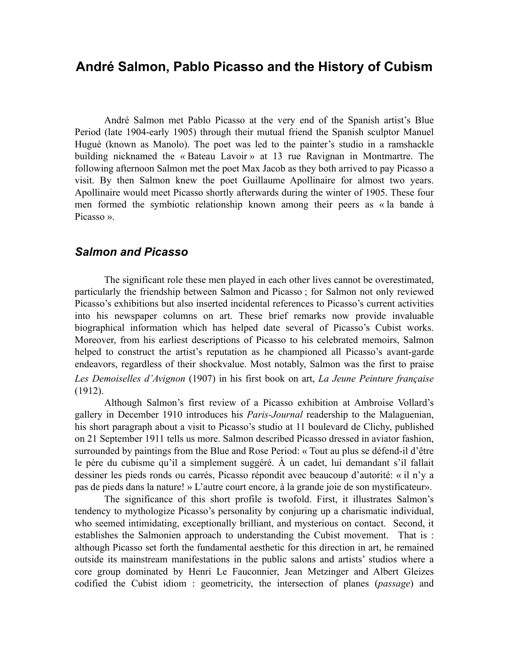# **André Salmon, Pablo Picasso and the History of Cubism**

André Salmon met Pablo Picasso at the very end of the Spanish artist's Blue Period (late 1904-early 1905) through their mutual friend the Spanish sculptor Manuel Hugué (known as Manolo). The poet was led to the painter's studio in a ramshackle building nicknamed the « Bateau Lavoir » at 13 rue Ravignan in Montmartre. The following afternoon Salmon met the poet Max Jacob as they both arrived to pay Picasso a visit. By then Salmon knew the poet Guillaume Apollinaire for almost two years. Apollinaire would meet Picasso shortly afterwards during the winter of 1905. These four men formed the symbiotic relationship known among their peers as « la bande à Picasso ».

### *Salmon and Picasso*

The significant role these men played in each other lives cannot be overestimated, particularly the friendship between Salmon and Picasso ; for Salmon not only reviewed Picasso's exhibitions but also inserted incidental references to Picasso's current activities into his newspaper columns on art. These brief remarks now provide invaluable biographical information which has helped date several of Picasso's Cubist works. Moreover, from his earliest descriptions of Picasso to his celebrated memoirs, Salmon helped to construct the artist's reputation as he championed all Picasso's avant-garde endeavors, regardless of their shockvalue. Most notably, Salmon was the first to praise *Les Demoiselles d'Avignon* (1907) in his first book on art, *La Jeune Peinture française* (1912).

Although Salmon's first review of a Picasso exhibition at Ambroise Vollard's gallery in December 1910 introduces his *Paris-Journal* readership to the Malaguenian, his short paragraph about a visit to Picasso's studio at 11 boulevard de Clichy, published on 21 September 1911 tells us more. Salmon described Picasso dressed in aviator fashion, surrounded by paintings from the Blue and Rose Period: « Tout au plus se défend-il d'être le père du cubisme qu'il a simplement suggéré. À un cadet, lui demandant s'il fallait dessiner les pieds ronds ou carrés, Picasso répondit avec beaucoup d'autorité: « il n'y a pas de pieds dans la nature! » L'autre court encore, à la grande joie de son mystificateur».

The significance of this short profile is twofold. First, it illustrates Salmon's tendency to mythologize Picasso's personality by conjuring up a charismatic individual, who seemed intimidating, exceptionally brilliant, and mysterious on contact. Second, it establishes the Salmonien approach to understanding the Cubist movement. That is : although Picasso set forth the fundamental aesthetic for this direction in art, he remained outside its mainstream manifestations in the public salons and artists' studios where a core group dominated by Henri Le Fauconnier, Jean Metzinger and Albert Gleizes codified the Cubist idiom : geometricity, the intersection of planes (*passage*) and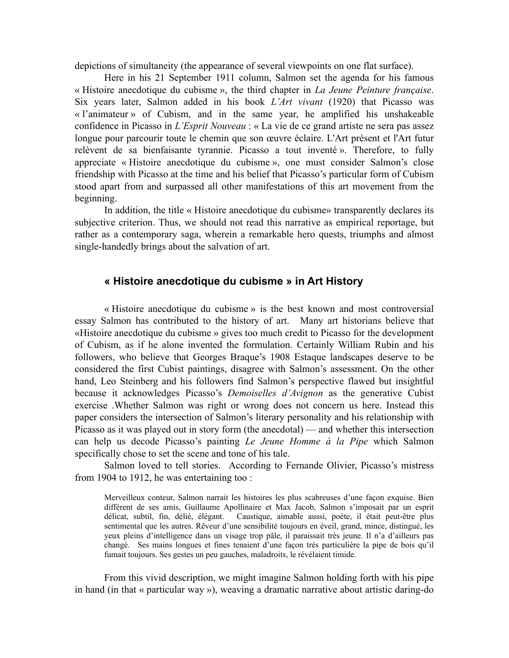depictions of simultaneity (the appearance of several viewpoints on one flat surface).

Here in his 21 September 1911 column, Salmon set the agenda for his famous « Histoire anecdotique du cubisme », the third chapter in *La Jeune Peinture française*. Six years later, Salmon added in his book *L'Art vivant* (1920) that Picasso was « l'animateur » of Cubism, and in the same year, he amplified his unshakeable confidence in Picasso in *L'Esprit Nouveau* : « La vie de ce grand artiste ne sera pas assez longue pour parcourir toute le chemin que son œuvre éclaire. L'Art présent et l'Art futur relèvent de sa bienfaisante tyrannie. Picasso a tout inventé ». Therefore, to fully appreciate « Histoire anecdotique du cubisme », one must consider Salmon's close friendship with Picasso at the time and his belief that Picasso's particular form of Cubism stood apart from and surpassed all other manifestations of this art movement from the beginning.

In addition, the title « Histoire anecdotique du cubisme» transparently declares its subjective criterion. Thus, we should not read this narrative as empirical reportage, but rather as a contemporary saga, wherein a remarkable hero quests, triumphs and almost single-handedly brings about the salvation of art.

#### **« Histoire anecdotique du cubisme » in Art History**

« Histoire anecdotique du cubisme » is the best known and most controversial essay Salmon has contributed to the history of art. Many art historians believe that «Histoire anecdotique du cubisme » gives too much credit to Picasso for the development of Cubism, as if he alone invented the formulation. Certainly William Rubin and his followers, who believe that Georges Braque's 1908 Estaque landscapes deserve to be considered the first Cubist paintings, disagree with Salmon's assessment. On the other hand, Leo Steinberg and his followers find Salmon's perspective flawed but insightful because it acknowledges Picasso's *Demoiselles d'Avignon* as the generative Cubist exercise .Whether Salmon was right or wrong does not concern us here. Instead this paper considers the intersection of Salmon's literary personality and his relationship with Picasso as it was played out in story form (the anecdotal) — and whether this intersection can help us decode Picasso's painting *Le Jeune Homme à la Pipe* which Salmon specifically chose to set the scene and tone of his tale.

Salmon loved to tell stories. According to Fernande Olivier, Picasso's mistress from 1904 to 1912, he was entertaining too :

Merveilleux conteur, Salmon narrait les histoires les plus scabreuses d'une façon exquise. Bien différent de ses amis, Guillaume Apollinaire et Max Jacob, Salmon s'imposait par un esprit délicat, subtil, fin, délié, élégant. Caustique, aimable aussi, poète, il était peut-être plus sentimental que les autres. Rêveur d'une sensibilité toujours en éveil, grand, mince, distingué, les yeux pleins d'intelligence dans un visage trop pâle, il paraissait très jeune. Il n'a d'ailleurs pas changé. Ses mains longues et fines tenaient d'une façon très particulière la pipe de bois qu'il fumait toujours. Ses gestes un peu gauches, maladroits, le révélaient timide.

From this vivid description, we might imagine Salmon holding forth with his pipe in hand (in that « particular way »), weaving a dramatic narrative about artistic daring-do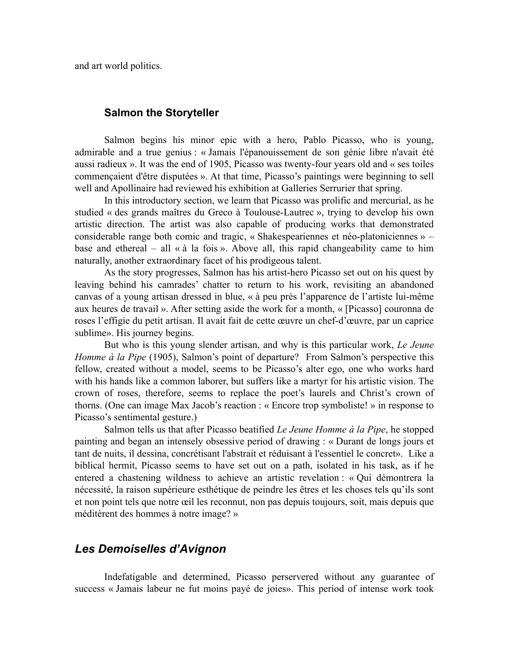and art world politics.

#### **Salmon the Storyteller**

Salmon begins his minor epic with a hero, Pablo Picasso, who is young, admirable and a true genius : « Jamais l'épanouissement de son génie libre n'avait été aussi radieux ». It was the end of 1905, Picasso was twenty-four years old and « ses toiles commençaient d'être disputées ». At that time, Picasso's paintings were beginning to sell well and Apollinaire had reviewed his exhibition at Galleries Serrurier that spring.

In this introductory section, we learn that Picasso was prolific and mercurial, as he studied « des grands maîtres du Greco à Toulouse-Lautrec », trying to develop his own artistic direction. The artist was also capable of producing works that demonstrated considerable range both comic and tragic, « Shakespeariennes et néo-platoniciennes » – base and ethereal – all  $\alpha$  à la fois ». Above all, this rapid changeability came to him naturally, another extraordinary facet of his prodigeous talent.

As the story progresses, Salmon has his artist-hero Picasso set out on his quest by leaving behind his camrades' chatter to return to his work, revisiting an abandoned canvas of a young artisan dressed in blue, « à peu près l'apparence de l'artiste lui-même aux heures de travail ». After setting aside the work for a month, « [Picasso] couronna de roses l'effigie du petit artisan. Il avait fait de cette œuvre un chef-d'œuvre, par un caprice sublime». His journey begins.

But who is this young slender artisan, and why is this particular work, *Le Jeune Homme à la Pipe* (1905), Salmon's point of departure? From Salmon's perspective this fellow, created without a model, seems to be Picasso's alter ego, one who works hard with his hands like a common laborer, but suffers like a martyr for his artistic vision. The crown of roses, therefore, seems to replace the poet's laurels and Christ's crown of thorns. (One can image Max Jacob's reaction : « Encore trop symboliste! » in response to Picasso's sentimental gesture.)

Salmon tells us that after Picasso beatified *Le Jeune Homme à la Pipe*, he stopped painting and began an intensely obsessive period of drawing : « Durant de longs jours et tant de nuits, il dessina, concrétisant l'abstrait et réduisant à l'essentiel le concret». Like a biblical hermit, Picasso seems to have set out on a path, isolated in his task, as if he entered a chastening wildness to achieve an artistic revelation : « Qui démontrera la nécessité, la raison supérieure esthétique de peindre les êtres et les choses tels qu'ils sont et non point tels que notre œil les reconnut, non pas depuis toujours, soit, mais depuis que méditèrent des hommes à notre image? »

### *Les Demoiselles d'Avignon*

Indefatigable and determined, Picasso perservered without any guarantee of success « Jamais labeur ne fut moins payé de joies». This period of intense work took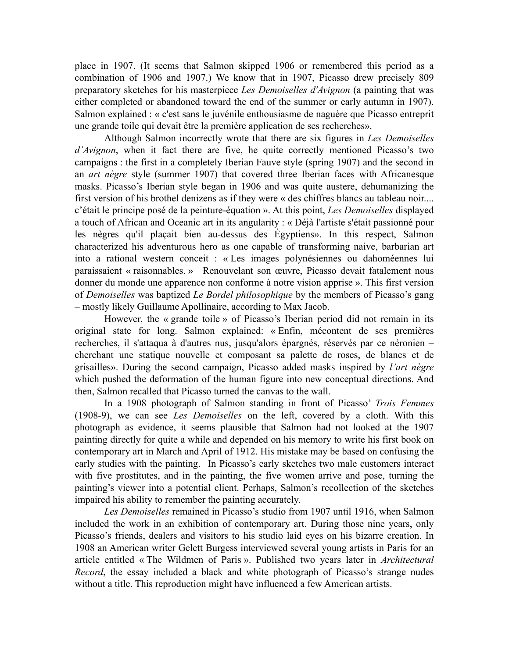place in 1907. (It seems that Salmon skipped 1906 or remembered this period as a combination of 1906 and 1907.) We know that in 1907, Picasso drew precisely 809 preparatory sketches for his masterpiece *Les Demoiselles d'Avignon* (a painting that was either completed or abandoned toward the end of the summer or early autumn in 1907). Salmon explained : « c'est sans le juvénile enthousiasme de naguère que Picasso entreprit une grande toile qui devait être la première application de ses recherches».

Although Salmon incorrectly wrote that there are six figures in *Les Demoiselles d'Avignon*, when it fact there are five, he quite correctly mentioned Picasso's two campaigns : the first in a completely Iberian Fauve style (spring 1907) and the second in an *art nègre* style (summer 1907) that covered three Iberian faces with Africanesque masks. Picasso's Iberian style began in 1906 and was quite austere, dehumanizing the first version of his brothel denizens as if they were « des chiffres blancs au tableau noir.... c'était le principe posé de la peinture-équation ». At this point, *Les Demoiselles* displayed a touch of African and Oceanic art in its angularity : « Déjà l'artiste s'était passionné pour les nègres qu'il plaçait bien au-dessus des Égyptiens». In this respect, Salmon characterized his adventurous hero as one capable of transforming naive, barbarian art into a rational western conceit : « Les images polynésiennes ou dahoméennes lui paraissaient « raisonnables. » Renouvelant son œuvre, Picasso devait fatalement nous donner du monde une apparence non conforme à notre vision apprise ». This first version of *Demoiselles* was baptized *Le Bordel philosophique* by the members of Picasso's gang – mostly likely Guillaume Apollinaire, according to Max Jacob.

However, the « grande toile » of Picasso's Iberian period did not remain in its original state for long. Salmon explained: « Enfin, mécontent de ses premières recherches, il s'attaqua à d'autres nus, jusqu'alors épargnés, réservés par ce néronien – cherchant une statique nouvelle et composant sa palette de roses, de blancs et de grisailles». During the second campaign, Picasso added masks inspired by *l'art nègre* which pushed the deformation of the human figure into new conceptual directions. And then, Salmon recalled that Picasso turned the canvas to the wall.

In a 1908 photograph of Salmon standing in front of Picasso' *Trois Femmes* (1908-9), we can see *Les Demoiselles* on the left, covered by a cloth. With this photograph as evidence, it seems plausible that Salmon had not looked at the 1907 painting directly for quite a while and depended on his memory to write his first book on contemporary art in March and April of 1912. His mistake may be based on confusing the early studies with the painting. In Picasso's early sketches two male customers interact with five prostitutes, and in the painting, the five women arrive and pose, turning the painting's viewer into a potential client. Perhaps, Salmon's recollection of the sketches impaired his ability to remember the painting accurately.

*Les Demoiselles* remained in Picasso's studio from 1907 until 1916, when Salmon included the work in an exhibition of contemporary art. During those nine years, only Picasso's friends, dealers and visitors to his studio laid eyes on his bizarre creation. In 1908 an American writer Gelett Burgess interviewed several young artists in Paris for an article entitled « The Wildmen of Paris ». Published two years later in *Architectural Record*, the essay included a black and white photograph of Picasso's strange nudes without a title. This reproduction might have influenced a few American artists.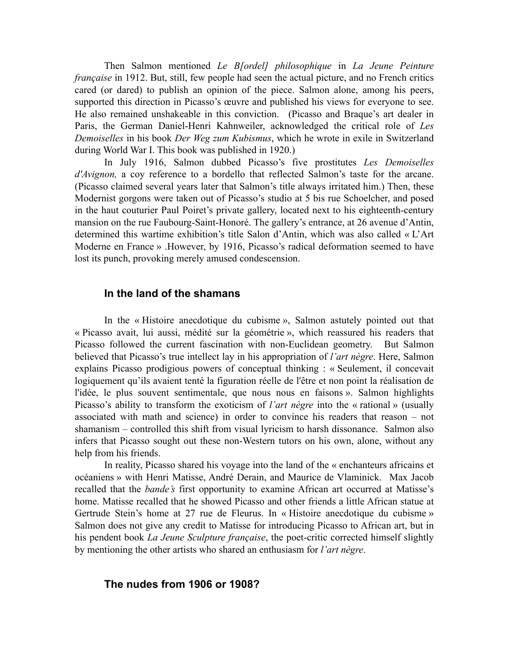Then Salmon mentioned *Le B[ordel] philosophique* in *La Jeune Peinture française* in 1912. But, still, few people had seen the actual picture, and no French critics cared (or dared) to publish an opinion of the piece. Salmon alone, among his peers, supported this direction in Picasso's œuvre and published his views for everyone to see. He also remained unshakeable in this conviction. (Picasso and Braque's art dealer in Paris, the German Daniel-Henri Kahnweiler, acknowledged the critical role of *Les Demoiselles* in his book *Der Weg zum Kubismus*, which he wrote in exile in Switzerland during World War I. This book was published in 1920.)

In July 1916, Salmon dubbed Picasso's five prostitutes *Les Demoiselles d'Avignon,* a coy reference to a bordello that reflected Salmon's taste for the arcane. (Picasso claimed several years later that Salmon's title always irritated him.) Then, these Modernist gorgons were taken out of Picasso's studio at 5 bis rue Schoelcher, and posed in the haut couturier Paul Poiret's private gallery, located next to his eighteenth-century mansion on the rue Faubourg-Saint-Honoré. The gallery's entrance, at 26 avenue d'Antin, determined this wartime exhibition's title Salon d'Antin, which was also called « L'Art Moderne en France » .However, by 1916, Picasso's radical deformation seemed to have lost its punch, provoking merely amused condescension.

#### **In the land of the shamans**

In the « Histoire anecdotique du cubisme », Salmon astutely pointed out that « Picasso avait, lui aussi, médité sur la géométrie », which reassured his readers that Picasso followed the current fascination with non-Euclidean geometry. But Salmon believed that Picasso's true intellect lay in his appropriation of *l'art nègre*. Here, Salmon explains Picasso prodigious powers of conceptual thinking : « Seulement, il concevait logiquement qu'ils avaient tenté la figuration réelle de l'être et non point la réalisation de l'idée, le plus souvent sentimentale, que nous nous en faisons ». Salmon highlights Picasso's ability to transform the exoticism of *l'art nègre* into the « rational » (usually associated with math and science) in order to convince his readers that reason – not shamanism – controlled this shift from visual lyricism to harsh dissonance. Salmon also infers that Picasso sought out these non-Western tutors on his own, alone, without any help from his friends.

In reality, Picasso shared his voyage into the land of the « enchanteurs africains et océaniens » with Henri Matisse, André Derain, and Maurice de Vlaminick. Max Jacob recalled that the *bande's* first opportunity to examine African art occurred at Matisse's home. Matisse recalled that he showed Picasso and other friends a little African statue at Gertrude Stein's home at 27 rue de Fleurus. In « Histoire anecdotique du cubisme » Salmon does not give any credit to Matisse for introducing Picasso to African art, but in his pendent book *La Jeune Sculpture française*, the poet-critic corrected himself slightly by mentioning the other artists who shared an enthusiasm for *l'art nègre*.

#### **The nudes from 1906 or 1908?**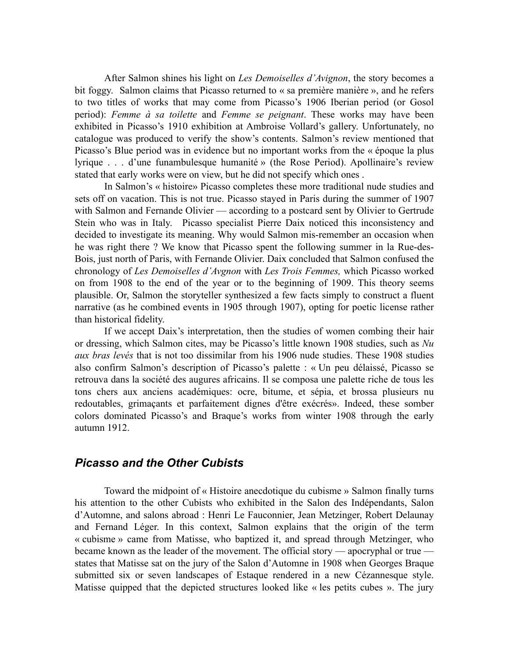After Salmon shines his light on *Les Demoiselles d'Avignon*, the story becomes a bit foggy. Salmon claims that Picasso returned to « sa première manière », and he refers to two titles of works that may come from Picasso's 1906 Iberian period (or Gosol period): *Femme à sa toilette* and *Femme se peignant*. These works may have been exhibited in Picasso's 1910 exhibition at Ambroise Vollard's gallery. Unfortunately, no catalogue was produced to verify the show's contents. Salmon's review mentioned that Picasso's Blue period was in evidence but no important works from the « époque la plus lyrique . . . d'une funambulesque humanité » (the Rose Period). Apollinaire's review stated that early works were on view, but he did not specify which ones .

In Salmon's « histoire» Picasso completes these more traditional nude studies and sets off on vacation. This is not true. Picasso stayed in Paris during the summer of 1907 with Salmon and Fernande Olivier — according to a postcard sent by Olivier to Gertrude Stein who was in Italy. Picasso specialist Pierre Daix noticed this inconsistency and decided to investigate its meaning. Why would Salmon mis-remember an occasion when he was right there ? We know that Picasso spent the following summer in la Rue-des-Bois, just north of Paris, with Fernande Olivier. Daix concluded that Salmon confused the chronology of *Les Demoiselles d'Avgnon* with *Les Trois Femmes,* which Picasso worked on from 1908 to the end of the year or to the beginning of 1909. This theory seems plausible. Or, Salmon the storyteller synthesized a few facts simply to construct a fluent narrative (as he combined events in 1905 through 1907), opting for poetic license rather than historical fidelity.

If we accept Daix's interpretation, then the studies of women combing their hair or dressing, which Salmon cites, may be Picasso's little known 1908 studies, such as *Nu aux bras levés* that is not too dissimilar from his 1906 nude studies. These 1908 studies also confirm Salmon's description of Picasso's palette : « Un peu délaissé, Picasso se retrouva dans la société des augures africains. Il se composa une palette riche de tous les tons chers aux anciens académiques: ocre, bitume, et sépia, et brossa plusieurs nu redoutables, grimaçants et parfaitement dignes d'être exécrés». Indeed, these somber colors dominated Picasso's and Braque's works from winter 1908 through the early autumn 1912.

### *Picasso and the Other Cubists*

Toward the midpoint of « Histoire anecdotique du cubisme » Salmon finally turns his attention to the other Cubists who exhibited in the Salon des Indépendants, Salon d'Automne, and salons abroad : Henri Le Fauconnier, Jean Metzinger, Robert Delaunay and Fernand Léger. In this context, Salmon explains that the origin of the term « cubisme » came from Matisse, who baptized it, and spread through Metzinger, who became known as the leader of the movement. The official story — apocryphal or true states that Matisse sat on the jury of the Salon d'Automne in 1908 when Georges Braque submitted six or seven landscapes of Estaque rendered in a new Cézannesque style. Matisse quipped that the depicted structures looked like « les petits cubes ». The jury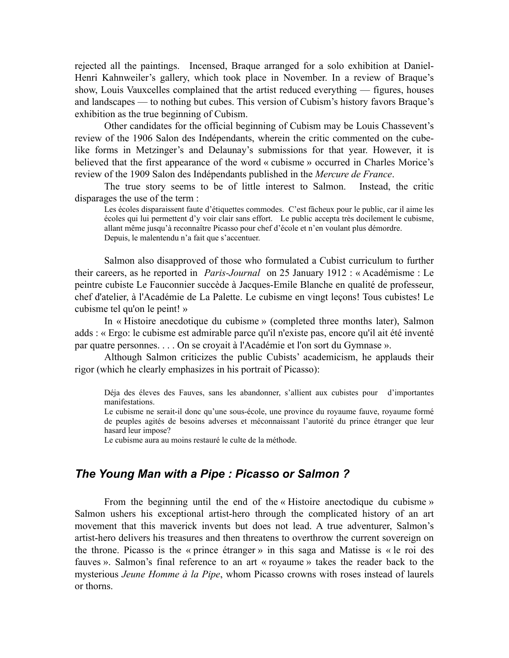rejected all the paintings. Incensed, Braque arranged for a solo exhibition at Daniel-Henri Kahnweiler's gallery, which took place in November. In a review of Braque's show, Louis Vauxcelles complained that the artist reduced everything — figures, houses and landscapes — to nothing but cubes. This version of Cubism's history favors Braque's exhibition as the true beginning of Cubism.

Other candidates for the official beginning of Cubism may be Louis Chassevent's review of the 1906 Salon des Indépendants, wherein the critic commented on the cubelike forms in Metzinger's and Delaunay's submissions for that year. However, it is believed that the first appearance of the word « cubisme » occurred in Charles Morice's review of the 1909 Salon des Indépendants published in the *Mercure de France*.

The true story seems to be of little interest to Salmon. Instead, the critic disparages the use of the term :

Les écoles disparaissent faute d'étiquettes commodes. C'est fâcheux pour le public, car il aime les écoles qui lui permettent d'y voir clair sans effort. Le public accepta très docilement le cubisme, allant même jusqu'à reconnaître Picasso pour chef d'école et n'en voulant plus démordre. Depuis, le malentendu n'a fait que s'accentuer.

Salmon also disapproved of those who formulated a Cubist curriculum to further their careers, as he reported in *Paris-Journal* on 25 January 1912 : « Académisme : Le peintre cubiste Le Fauconnier succède à Jacques-Emile Blanche en qualité de professeur, chef d'atelier, à l'Académie de La Palette. Le cubisme en vingt leçons! Tous cubistes! Le cubisme tel qu'on le peint! »

In « Histoire anecdotique du cubisme » (completed three months later), Salmon adds : « Ergo: le cubisme est admirable parce qu'il n'existe pas, encore qu'il ait été inventé par quatre personnes. . . . On se croyait à l'Académie et l'on sort du Gymnase ».

Although Salmon criticizes the public Cubists' academicism, he applauds their rigor (which he clearly emphasizes in his portrait of Picasso):

Déja des éleves des Fauves, sans les abandonner, s'allient aux cubistes pour d'importantes manifestations.

Le cubisme ne serait-il donc qu'une sous-école, une province du royaume fauve, royaume formé de peuples agités de besoins adverses et méconnaissant l'autorité du prince étranger que leur hasard leur impose?

Le cubisme aura au moins restauré le culte de la méthode.

## *The Young Man with a Pipe : Picasso or Salmon ?*

From the beginning until the end of the « Histoire anectodique du cubisme » Salmon ushers his exceptional artist-hero through the complicated history of an art movement that this maverick invents but does not lead. A true adventurer, Salmon's artist-hero delivers his treasures and then threatens to overthrow the current sovereign on the throne. Picasso is the « prince étranger » in this saga and Matisse is « le roi des fauves ». Salmon's final reference to an art « royaume » takes the reader back to the mysterious *Jeune Homme à la Pipe*, whom Picasso crowns with roses instead of laurels or thorns.